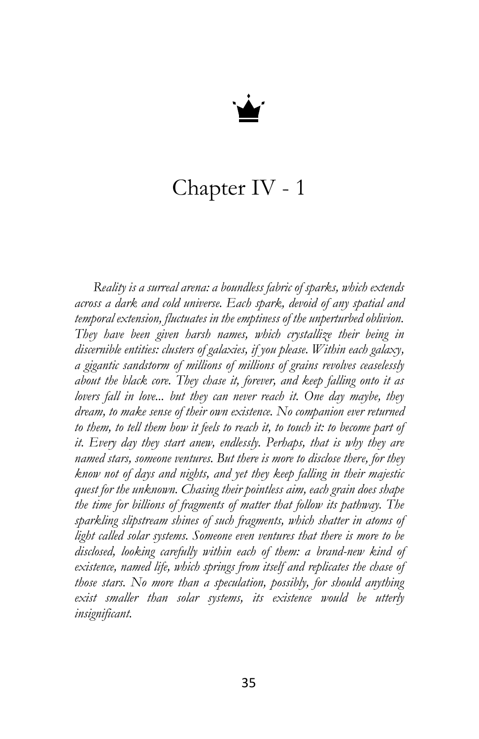

## Chapter IV - 1

*Reality is a surreal arena: a boundless fabric of sparks, which extends across a dark and cold universe. Each spark, devoid of any spatial and temporal extension, fluctuates in the emptiness of the unperturbed oblivion. They have been given harsh names, which crystallize their being in discernible entities: clusters of galaxies, if you please. Within each galaxy, a gigantic sandstorm of millions of millions of grains revolves ceaselessly about the black core. They chase it, forever, and keep falling onto it as lovers fall in love... but they can never reach it. One day maybe, they dream, to make sense of their own existence. No companion ever returned to them, to tell them how it feels to reach it, to touch it: to become part of it. Every day they start anew, endlessly. Perhaps, that is why they are named stars, someone ventures. But there is more to disclose there, for they know not of days and nights, and yet they keep falling in their majestic quest for the unknown. Chasing their pointless aim, each grain does shape the time for billions of fragments of matter that follow its pathway. The sparkling slipstream shines of such fragments, which shatter in atoms of light called solar systems. Someone even ventures that there is more to be disclosed, looking carefully within each of them: a brand-new kind of existence, named life, which springs from itself and replicates the chase of those stars. No more than a speculation, possibly, for should anything exist smaller than solar systems, its existence would be utterly insignificant.*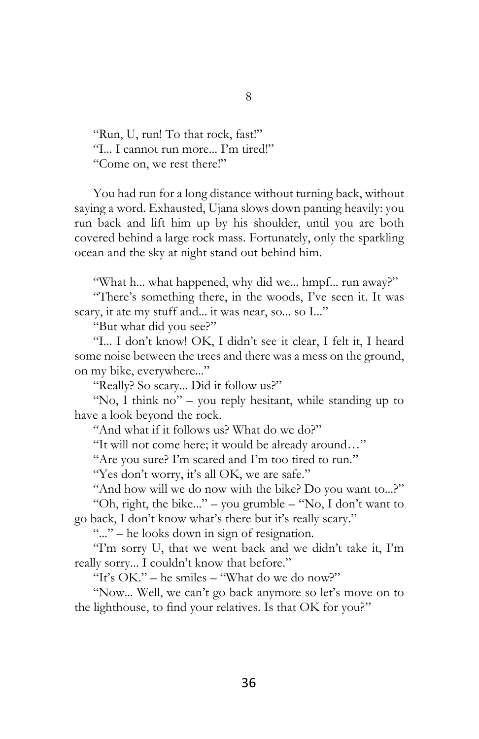"Run, U, run! To that rock, fast!" "I... I cannot run more... I'm tired!" "Come on, we rest there!"

You had run for a long distance without turning back, without saying a word. Exhausted, Ujana slows down panting heavily: you run back and lift him up by his shoulder, until you are both covered behind a large rock mass. Fortunately, only the sparkling ocean and the sky at night stand out behind him.

"What h... what happened, why did we... hmpf... run away?"

"There's something there, in the woods, I've seen it. It was scary, it ate my stuff and... it was near, so... so I..."

"But what did you see?"

"I... I don't know! OK, I didn't see it clear, I felt it, I heard some noise between the trees and there was a mess on the ground, on my bike, everywhere..."

"Really? So scary... Did it follow us?"

"No, I think no" – you reply hesitant, while standing up to have a look beyond the rock.

"And what if it follows us? What do we do?"

"It will not come here; it would be already around…"

"Are you sure? I'm scared and I'm too tired to run."

"Yes don't worry, it's all OK, we are safe."

"And how will we do now with the bike? Do you want to...?" "Oh, right, the bike..." – you grumble – "No, I don't want to

go back, I don't know what's there but it's really scary."

"..." – he looks down in sign of resignation.

"I'm sorry U, that we went back and we didn't take it, I'm really sorry... I couldn't know that before."

"It's  $OK$ ." – he smiles – "What do we do now?"

"Now... Well, we can't go back anymore so let's move on to the lighthouse, to find your relatives. Is that OK for you?"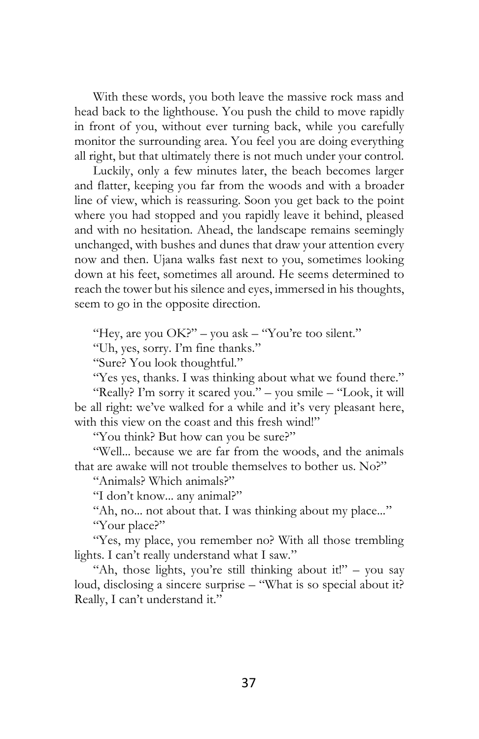With these words, you both leave the massive rock mass and head back to the lighthouse. You push the child to move rapidly in front of you, without ever turning back, while you carefully monitor the surrounding area. You feel you are doing everything all right, but that ultimately there is not much under your control.

Luckily, only a few minutes later, the beach becomes larger and flatter, keeping you far from the woods and with a broader line of view, which is reassuring. Soon you get back to the point where you had stopped and you rapidly leave it behind, pleased and with no hesitation. Ahead, the landscape remains seemingly unchanged, with bushes and dunes that draw your attention every now and then. Ujana walks fast next to you, sometimes looking down at his feet, sometimes all around. He seems determined to reach the tower but his silence and eyes, immersed in his thoughts, seem to go in the opposite direction.

"Hey, are you  $OK?$ " – you ask – "You're too silent."

"Uh, yes, sorry. I'm fine thanks."

"Sure? You look thoughtful."

"Yes yes, thanks. I was thinking about what we found there." "Really? I'm sorry it scared you." – you smile – "Look, it will be all right: we've walked for a while and it's very pleasant here, with this view on the coast and this fresh wind!"

"You think? But how can you be sure?"

"Well... because we are far from the woods, and the animals that are awake will not trouble themselves to bother us. No?"

"Animals? Which animals?"

"I don't know... any animal?"

"Ah, no... not about that. I was thinking about my place..."

"Your place?"

"Yes, my place, you remember no? With all those trembling lights. I can't really understand what I saw."

"Ah, those lights, you're still thinking about it!" – you say loud, disclosing a sincere surprise – "What is so special about it? Really, I can't understand it."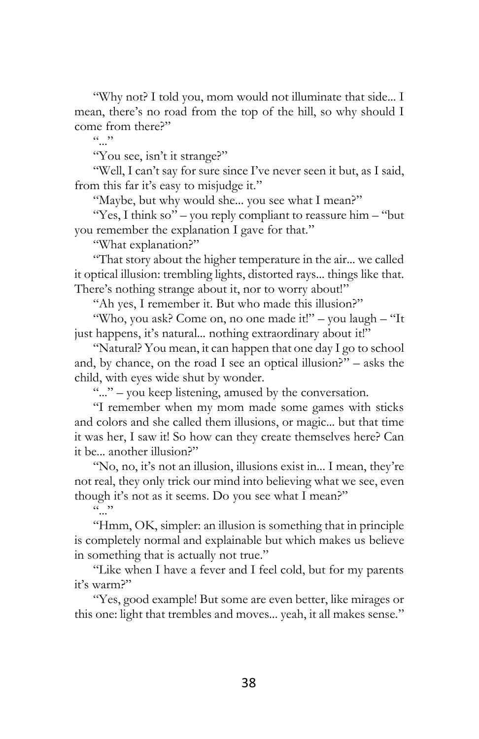"Why not? I told you, mom would not illuminate that side... I mean, there's no road from the top of the hill, so why should I come from there?"

 $(0, 0)$ 

"You see, isn't it strange?"

"Well, I can't say for sure since I've never seen it but, as I said, from this far it's easy to misjudge it."

"Maybe, but why would she... you see what I mean?"

"Yes, I think so" – you reply compliant to reassure him – "but you remember the explanation I gave for that."

"What explanation?"

"That story about the higher temperature in the air... we called it optical illusion: trembling lights, distorted rays... things like that. There's nothing strange about it, nor to worry about!"

"Ah yes, I remember it. But who made this illusion?"

"Who, you ask? Come on, no one made it!" – you laugh – "It just happens, it's natural... nothing extraordinary about it!"

"Natural? You mean, it can happen that one day I go to school and, by chance, on the road I see an optical illusion?" – asks the child, with eyes wide shut by wonder.

"..." – you keep listening, amused by the conversation.

"I remember when my mom made some games with sticks and colors and she called them illusions, or magic... but that time it was her, I saw it! So how can they create themselves here? Can it be... another illusion?"

"No, no, it's not an illusion, illusions exist in... I mean, they're not real, they only trick our mind into believing what we see, even though it's not as it seems. Do you see what I mean?"

 $\sim$  ".

"Hmm, OK, simpler: an illusion is something that in principle is completely normal and explainable but which makes us believe in something that is actually not true."

"Like when I have a fever and I feel cold, but for my parents it's warm?"

"Yes, good example! But some are even better, like mirages or this one: light that trembles and moves... yeah, it all makes sense."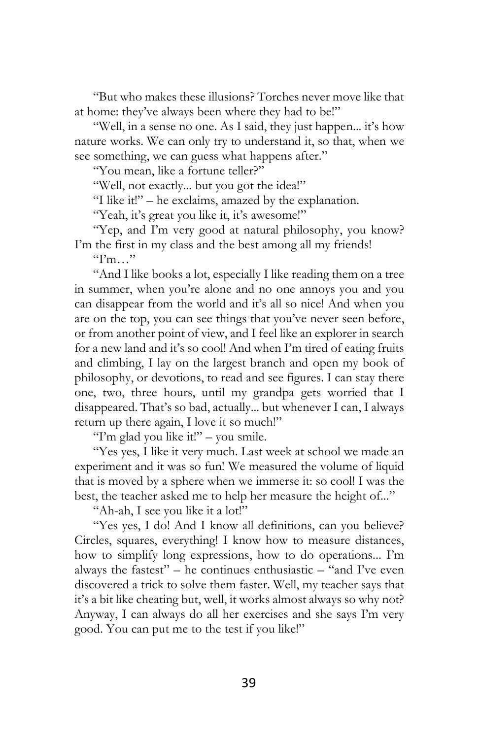"But who makes these illusions? Torches never move like that at home: they've always been where they had to be!"

"Well, in a sense no one. As I said, they just happen... it's how nature works. We can only try to understand it, so that, when we see something, we can guess what happens after."

"You mean, like a fortune teller?"

"Well, not exactly... but you got the idea!"

"I like it!" – he exclaims, amazed by the explanation.

"Yeah, it's great you like it, it's awesome!"

"Yep, and I'm very good at natural philosophy, you know? I'm the first in my class and the best among all my friends!

 $T<sub>m</sub>$  "

"And I like books a lot, especially I like reading them on a tree in summer, when you're alone and no one annoys you and you can disappear from the world and it's all so nice! And when you are on the top, you can see things that you've never seen before, or from another point of view, and I feel like an explorer in search for a new land and it's so cool! And when I'm tired of eating fruits and climbing, I lay on the largest branch and open my book of philosophy, or devotions, to read and see figures. I can stay there one, two, three hours, until my grandpa gets worried that I disappeared. That's so bad, actually... but whenever I can, I always return up there again, I love it so much!"

"I'm glad you like it!" – you smile.

"Yes yes, I like it very much. Last week at school we made an experiment and it was so fun! We measured the volume of liquid that is moved by a sphere when we immerse it: so cool! I was the best, the teacher asked me to help her measure the height of..."

"Ah-ah, I see you like it a lot!"

"Yes yes, I do! And I know all definitions, can you believe? Circles, squares, everything! I know how to measure distances, how to simplify long expressions, how to do operations... I'm always the fastest" – he continues enthusiastic – "and I've even discovered a trick to solve them faster. Well, my teacher says that it's a bit like cheating but, well, it works almost always so why not? Anyway, I can always do all her exercises and she says I'm very good. You can put me to the test if you like!"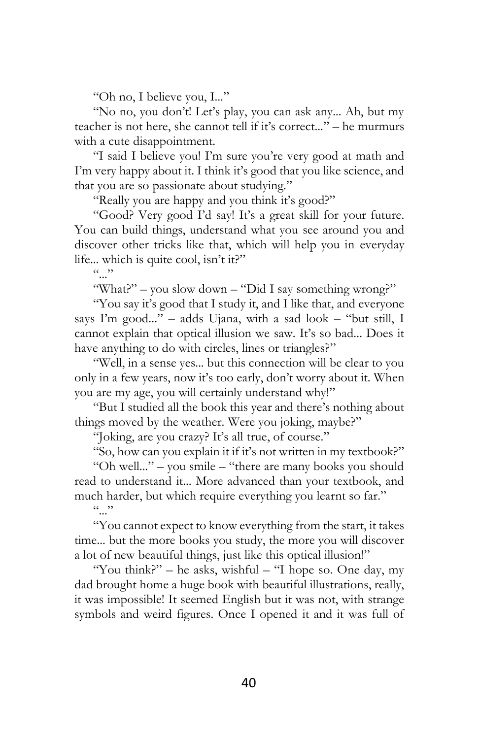"Oh no, I believe you, I..."

"No no, you don't! Let's play, you can ask any... Ah, but my teacher is not here, she cannot tell if it's correct..." – he murmurs with a cute disappointment.

"I said I believe you! I'm sure you're very good at math and I'm very happy about it. I think it's good that you like science, and that you are so passionate about studying."

"Really you are happy and you think it's good?"

"Good? Very good I'd say! It's a great skill for your future. You can build things, understand what you see around you and discover other tricks like that, which will help you in everyday life... which is quite cool, isn't it?"

 $(0, 0)$ 

"What?" – you slow down – "Did I say something wrong?"

"You say it's good that I study it, and I like that, and everyone says I'm good..." – adds Ujana, with a sad look – "but still, I cannot explain that optical illusion we saw. It's so bad... Does it have anything to do with circles, lines or triangles?"

"Well, in a sense yes... but this connection will be clear to you only in a few years, now it's too early, don't worry about it. When you are my age, you will certainly understand why!"

"But I studied all the book this year and there's nothing about things moved by the weather. Were you joking, maybe?"

"Joking, are you crazy? It's all true, of course."

"So, how can you explain it if it's not written in my textbook?"

"Oh well..." – you smile – "there are many books you should read to understand it... More advanced than your textbook, and much harder, but which require everything you learnt so far."

 $(0, 0)$ 

"You cannot expect to know everything from the start, it takes time... but the more books you study, the more you will discover a lot of new beautiful things, just like this optical illusion!"

"You think?" – he asks, wishful – "I hope so. One day, my dad brought home a huge book with beautiful illustrations, really, it was impossible! It seemed English but it was not, with strange symbols and weird figures. Once I opened it and it was full of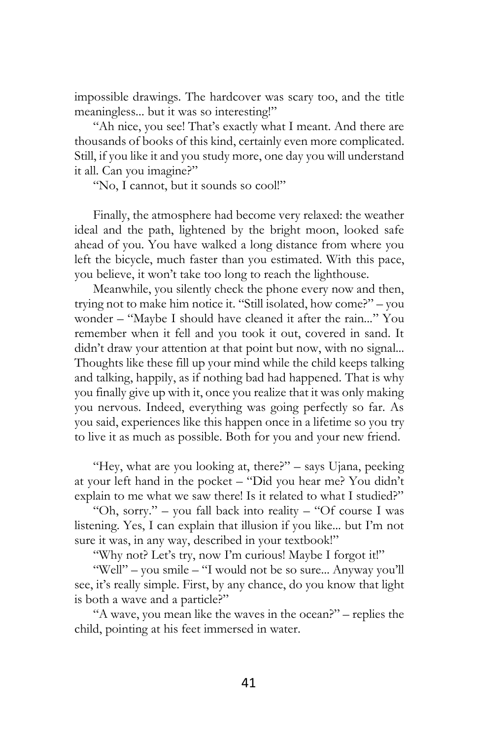impossible drawings. The hardcover was scary too, and the title meaningless... but it was so interesting!"

"Ah nice, you see! That's exactly what I meant. And there are thousands of books of this kind, certainly even more complicated. Still, if you like it and you study more, one day you will understand it all. Can you imagine?"

"No, I cannot, but it sounds so cool!"

Finally, the atmosphere had become very relaxed: the weather ideal and the path, lightened by the bright moon, looked safe ahead of you. You have walked a long distance from where you left the bicycle, much faster than you estimated. With this pace, you believe, it won't take too long to reach the lighthouse.

Meanwhile, you silently check the phone every now and then, trying not to make him notice it. "Still isolated, how come?" – you wonder – "Maybe I should have cleaned it after the rain..." You remember when it fell and you took it out, covered in sand. It didn't draw your attention at that point but now, with no signal... Thoughts like these fill up your mind while the child keeps talking and talking, happily, as if nothing bad had happened. That is why you finally give up with it, once you realize that it was only making you nervous. Indeed, everything was going perfectly so far. As you said, experiences like this happen once in a lifetime so you try to live it as much as possible. Both for you and your new friend.

"Hey, what are you looking at, there?" – says Ujana, peeking at your left hand in the pocket – "Did you hear me? You didn't explain to me what we saw there! Is it related to what I studied?"

"Oh, sorry." – you fall back into reality – "Of course I was listening. Yes, I can explain that illusion if you like... but I'm not sure it was, in any way, described in your textbook!"

"Why not? Let's try, now I'm curious! Maybe I forgot it!"

"Well" – you smile – "I would not be so sure... Anyway you'll see, it's really simple. First, by any chance, do you know that light is both a wave and a particle?"

"A wave, you mean like the waves in the ocean?" – replies the child, pointing at his feet immersed in water.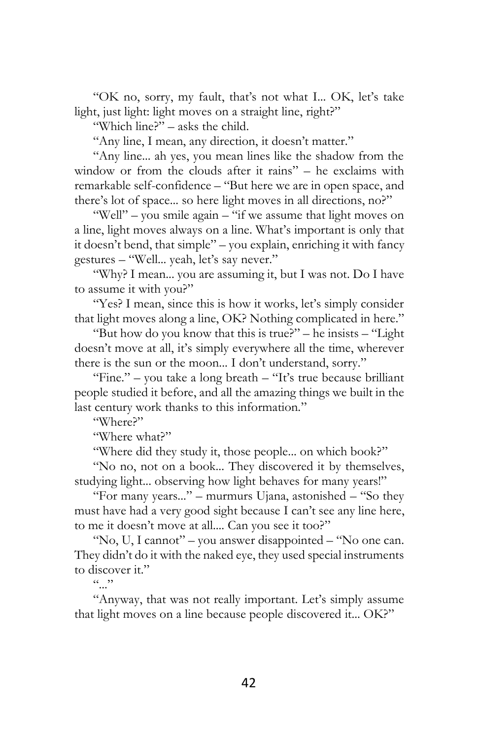"OK no, sorry, my fault, that's not what I... OK, let's take light, just light: light moves on a straight line, right?"

"Which line?" – asks the child.

"Any line, I mean, any direction, it doesn't matter."

"Any line... ah yes, you mean lines like the shadow from the window or from the clouds after it rains" – he exclaims with remarkable self-confidence – "But here we are in open space, and there's lot of space... so here light moves in all directions, no?"

"Well" – you smile again – "if we assume that light moves on a line, light moves always on a line. What's important is only that it doesn't bend, that simple" – you explain, enriching it with fancy gestures – "Well... yeah, let's say never."

"Why? I mean... you are assuming it, but I was not. Do I have to assume it with you?"

"Yes? I mean, since this is how it works, let's simply consider that light moves along a line, OK? Nothing complicated in here."

"But how do you know that this is true?" – he insists – "Light doesn't move at all, it's simply everywhere all the time, wherever there is the sun or the moon... I don't understand, sorry."

"Fine." – you take a long breath – "It's true because brilliant people studied it before, and all the amazing things we built in the last century work thanks to this information."

"Where?"

"Where what?"

"Where did they study it, those people... on which book?"

"No no, not on a book... They discovered it by themselves, studying light... observing how light behaves for many years!"

"For many years..." – murmurs Ujana, astonished – "So they must have had a very good sight because I can't see any line here, to me it doesn't move at all.... Can you see it too?"

"No, U, I cannot" – you answer disappointed – "No one can. They didn't do it with the naked eye, they used special instruments to discover it."

 $(0, 0)$ 

"Anyway, that was not really important. Let's simply assume that light moves on a line because people discovered it... OK?"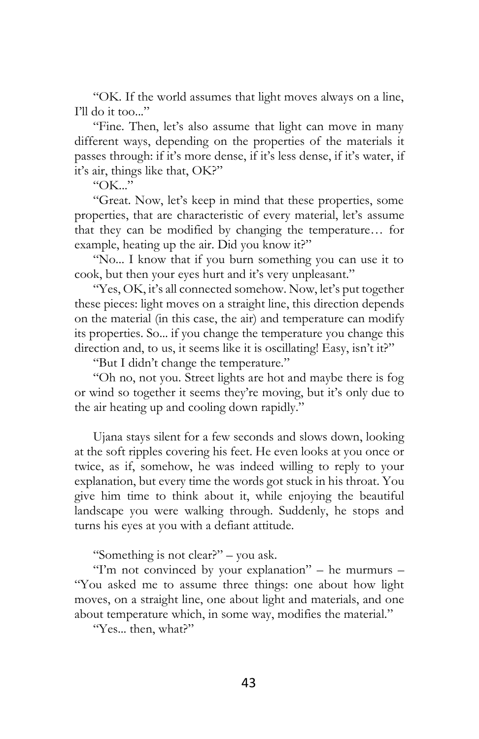"OK. If the world assumes that light moves always on a line, I'll do it too..."

"Fine. Then, let's also assume that light can move in many different ways, depending on the properties of the materials it passes through: if it's more dense, if it's less dense, if it's water, if it's air, things like that, OK?"

" $OK.$ "

"Great. Now, let's keep in mind that these properties, some properties, that are characteristic of every material, let's assume that they can be modified by changing the temperature… for example, heating up the air. Did you know it?"

"No... I know that if you burn something you can use it to cook, but then your eyes hurt and it's very unpleasant."

"Yes, OK, it's all connected somehow. Now, let's put together these pieces: light moves on a straight line, this direction depends on the material (in this case, the air) and temperature can modify its properties. So... if you change the temperature you change this direction and, to us, it seems like it is oscillating! Easy, isn't it?"

"But I didn't change the temperature."

"Oh no, not you. Street lights are hot and maybe there is fog or wind so together it seems they're moving, but it's only due to the air heating up and cooling down rapidly."

Ujana stays silent for a few seconds and slows down, looking at the soft ripples covering his feet. He even looks at you once or twice, as if, somehow, he was indeed willing to reply to your explanation, but every time the words got stuck in his throat. You give him time to think about it, while enjoying the beautiful landscape you were walking through. Suddenly, he stops and turns his eyes at you with a defiant attitude.

"Something is not clear?" – you ask.

"I'm not convinced by your explanation" – he murmurs – "You asked me to assume three things: one about how light moves, on a straight line, one about light and materials, and one about temperature which, in some way, modifies the material."

"Yes... then, what?"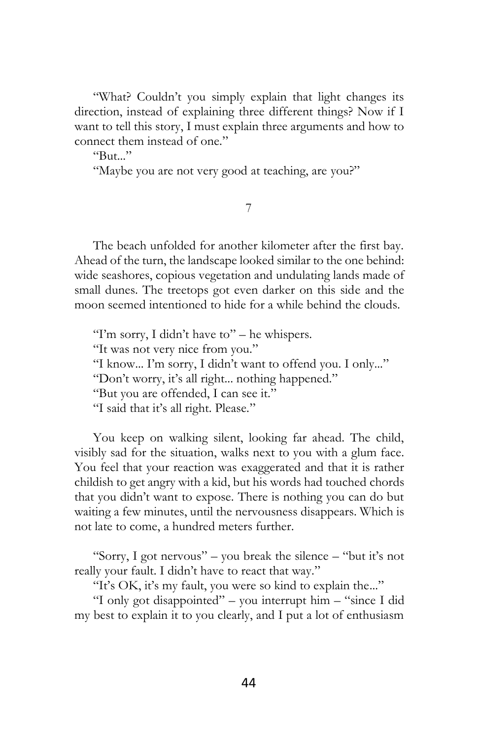"What? Couldn't you simply explain that light changes its direction, instead of explaining three different things? Now if I want to tell this story, I must explain three arguments and how to connect them instead of one."

 $R_{\rm 11}$ .

"Maybe you are not very good at teaching, are you?"

## 7

The beach unfolded for another kilometer after the first bay. Ahead of the turn, the landscape looked similar to the one behind: wide seashores, copious vegetation and undulating lands made of small dunes. The treetops got even darker on this side and the moon seemed intentioned to hide for a while behind the clouds.

"I'm sorry, I didn't have to" – he whispers. "It was not very nice from you." "I know... I'm sorry, I didn't want to offend you. I only..." "Don't worry, it's all right... nothing happened." "But you are offended, I can see it." "I said that it's all right. Please."

You keep on walking silent, looking far ahead. The child, visibly sad for the situation, walks next to you with a glum face. You feel that your reaction was exaggerated and that it is rather childish to get angry with a kid, but his words had touched chords that you didn't want to expose. There is nothing you can do but waiting a few minutes, until the nervousness disappears. Which is not late to come, a hundred meters further.

"Sorry, I got nervous" – you break the silence – "but it's not really your fault. I didn't have to react that way."

"It's OK, it's my fault, you were so kind to explain the..."

"I only got disappointed" – you interrupt him – "since I did my best to explain it to you clearly, and I put a lot of enthusiasm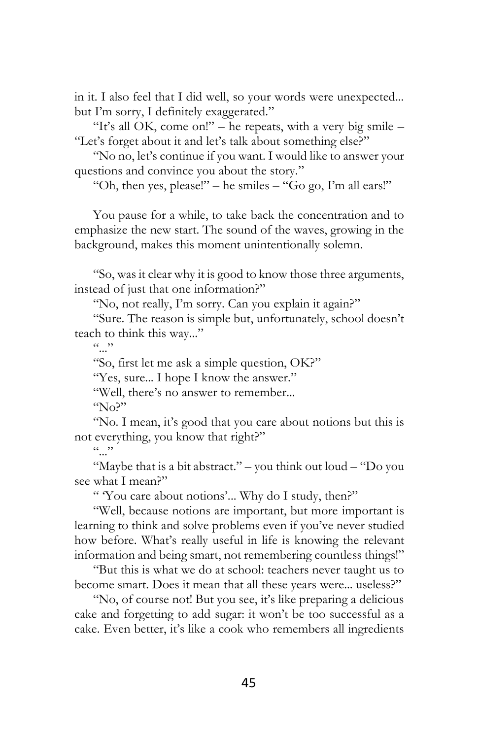in it. I also feel that I did well, so your words were unexpected... but I'm sorry, I definitely exaggerated."

"It's all OK, come on!" – he repeats, with a very big smile  $-$ "Let's forget about it and let's talk about something else?"

"No no, let's continue if you want. I would like to answer your questions and convince you about the story."

"Oh, then yes, please!" – he smiles  $-$  "Go go, I'm all ears!"

You pause for a while, to take back the concentration and to emphasize the new start. The sound of the waves, growing in the background, makes this moment unintentionally solemn.

"So, was it clear why it is good to know those three arguments, instead of just that one information?"

"No, not really, I'm sorry. Can you explain it again?"

"Sure. The reason is simple but, unfortunately, school doesn't teach to think this way..."

 $(0, 0)$ 

"So, first let me ask a simple question, OK?"

"Yes, sure... I hope I know the answer."

"Well, there's no answer to remember...

 $N_0$ <sup>"</sup>

"No. I mean, it's good that you care about notions but this is not everything, you know that right?"

 $(0, 0)$ 

"Maybe that is a bit abstract." – you think out loud – "Do you see what I mean?"

" 'You care about notions'... Why do I study, then?"

"Well, because notions are important, but more important is learning to think and solve problems even if you've never studied how before. What's really useful in life is knowing the relevant information and being smart, not remembering countless things!"

"But this is what we do at school: teachers never taught us to become smart. Does it mean that all these years were... useless?"

"No, of course not! But you see, it's like preparing a delicious cake and forgetting to add sugar: it won't be too successful as a cake. Even better, it's like a cook who remembers all ingredients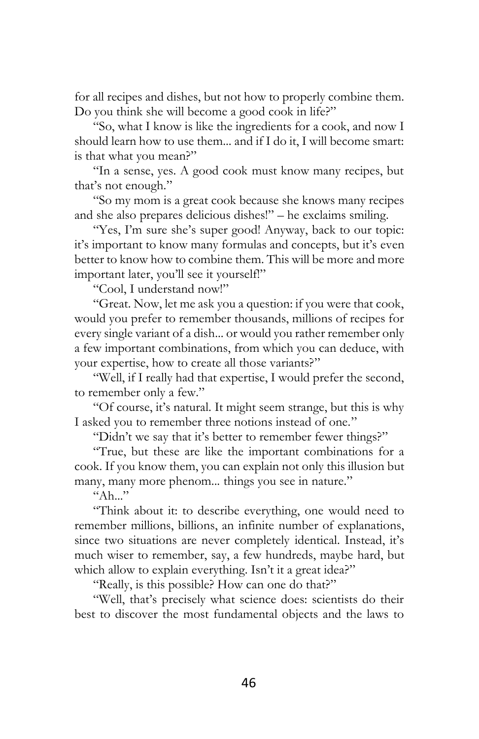for all recipes and dishes, but not how to properly combine them. Do you think she will become a good cook in life?"

"So, what I know is like the ingredients for a cook, and now I should learn how to use them... and if I do it, I will become smart: is that what you mean?"

"In a sense, yes. A good cook must know many recipes, but that's not enough."

"So my mom is a great cook because she knows many recipes and she also prepares delicious dishes!" – he exclaims smiling.

"Yes, I'm sure she's super good! Anyway, back to our topic: it's important to know many formulas and concepts, but it's even better to know how to combine them. This will be more and more important later, you'll see it yourself!"

"Cool, I understand now!"

"Great. Now, let me ask you a question: if you were that cook, would you prefer to remember thousands, millions of recipes for every single variant of a dish... or would you rather remember only a few important combinations, from which you can deduce, with your expertise, how to create all those variants?"

"Well, if I really had that expertise, I would prefer the second, to remember only a few."

"Of course, it's natural. It might seem strange, but this is why I asked you to remember three notions instead of one."

"Didn't we say that it's better to remember fewer things?"

"True, but these are like the important combinations for a cook. If you know them, you can explain not only this illusion but many, many more phenom... things you see in nature."

 $K_{A h}$  "

"Think about it: to describe everything, one would need to remember millions, billions, an infinite number of explanations, since two situations are never completely identical. Instead, it's much wiser to remember, say, a few hundreds, maybe hard, but which allow to explain everything. Isn't it a great idea?"

"Really, is this possible? How can one do that?"

"Well, that's precisely what science does: scientists do their best to discover the most fundamental objects and the laws to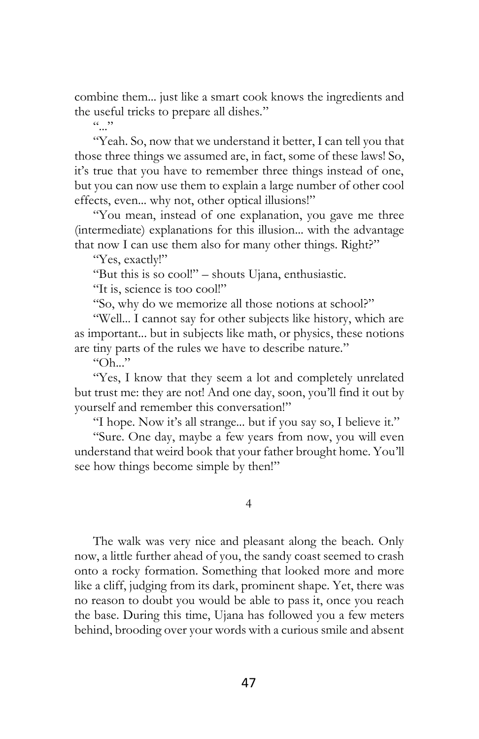combine them... just like a smart cook knows the ingredients and the useful tricks to prepare all dishes."

 $($ ,  $)$ 

"Yeah. So, now that we understand it better, I can tell you that those three things we assumed are, in fact, some of these laws! So, it's true that you have to remember three things instead of one, but you can now use them to explain a large number of other cool effects, even... why not, other optical illusions!"

"You mean, instead of one explanation, you gave me three (intermediate) explanations for this illusion... with the advantage that now I can use them also for many other things. Right?"

"Yes, exactly!"

"But this is so cool!" – shouts Ujana, enthusiastic.

"It is, science is too cool!"

"So, why do we memorize all those notions at school?"

"Well... I cannot say for other subjects like history, which are as important... but in subjects like math, or physics, these notions are tiny parts of the rules we have to describe nature."

 $"Oh..."$ 

"Yes, I know that they seem a lot and completely unrelated but trust me: they are not! And one day, soon, you'll find it out by yourself and remember this conversation!"

"I hope. Now it's all strange... but if you say so, I believe it."

"Sure. One day, maybe a few years from now, you will even understand that weird book that your father brought home. You'll see how things become simple by then!"

4

The walk was very nice and pleasant along the beach. Only now, a little further ahead of you, the sandy coast seemed to crash onto a rocky formation. Something that looked more and more like a cliff, judging from its dark, prominent shape. Yet, there was no reason to doubt you would be able to pass it, once you reach the base. During this time, Ujana has followed you a few meters behind, brooding over your words with a curious smile and absent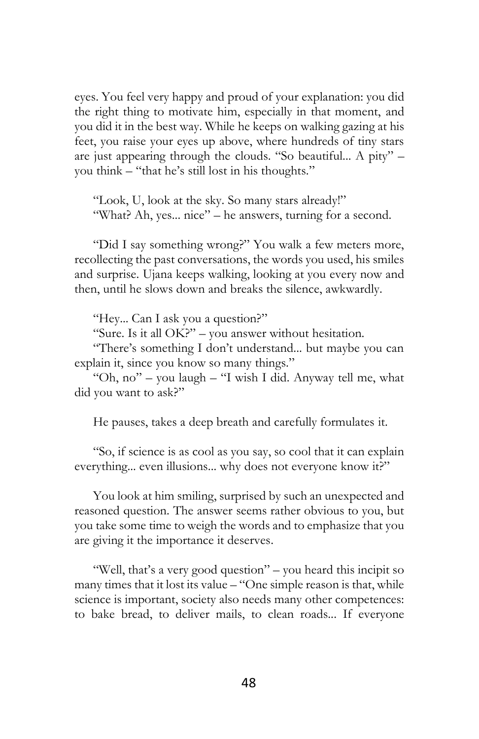eyes. You feel very happy and proud of your explanation: you did the right thing to motivate him, especially in that moment, and you did it in the best way. While he keeps on walking gazing at his feet, you raise your eyes up above, where hundreds of tiny stars are just appearing through the clouds. "So beautiful... A pity" – you think – "that he's still lost in his thoughts."

"Look, U, look at the sky. So many stars already!" "What? Ah, yes... nice" – he answers, turning for a second.

"Did I say something wrong?" You walk a few meters more, recollecting the past conversations, the words you used, his smiles and surprise. Ujana keeps walking, looking at you every now and then, until he slows down and breaks the silence, awkwardly.

"Hey... Can I ask you a question?"

"Sure. Is it all OK?" – you answer without hesitation.

"There's something I don't understand... but maybe you can explain it, since you know so many things."

"Oh, no" – you laugh – "I wish I did. Anyway tell me, what did you want to ask?"

He pauses, takes a deep breath and carefully formulates it.

"So, if science is as cool as you say, so cool that it can explain everything... even illusions... why does not everyone know it?"

You look at him smiling, surprised by such an unexpected and reasoned question. The answer seems rather obvious to you, but you take some time to weigh the words and to emphasize that you are giving it the importance it deserves.

"Well, that's a very good question" – you heard this incipit so many times that it lost its value – "One simple reason is that, while science is important, society also needs many other competences: to bake bread, to deliver mails, to clean roads... If everyone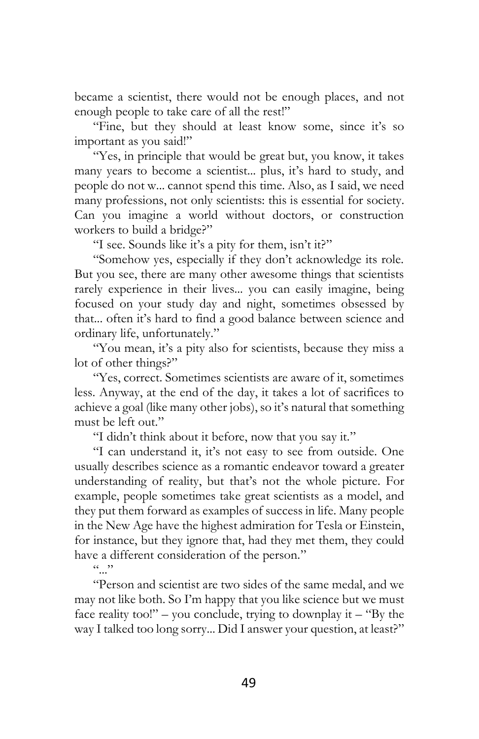became a scientist, there would not be enough places, and not enough people to take care of all the rest!"

"Fine, but they should at least know some, since it's so important as you said!"

"Yes, in principle that would be great but, you know, it takes many years to become a scientist... plus, it's hard to study, and people do not w... cannot spend this time. Also, as I said, we need many professions, not only scientists: this is essential for society. Can you imagine a world without doctors, or construction workers to build a bridge?"

"I see. Sounds like it's a pity for them, isn't it?"

"Somehow yes, especially if they don't acknowledge its role. But you see, there are many other awesome things that scientists rarely experience in their lives... you can easily imagine, being focused on your study day and night, sometimes obsessed by that... often it's hard to find a good balance between science and ordinary life, unfortunately."

"You mean, it's a pity also for scientists, because they miss a lot of other things?"

"Yes, correct. Sometimes scientists are aware of it, sometimes less. Anyway, at the end of the day, it takes a lot of sacrifices to achieve a goal (like many other jobs), so it's natural that something must be left out."

"I didn't think about it before, now that you say it."

"I can understand it, it's not easy to see from outside. One usually describes science as a romantic endeavor toward a greater understanding of reality, but that's not the whole picture. For example, people sometimes take great scientists as a model, and they put them forward as examples of success in life. Many people in the New Age have the highest admiration for Tesla or Einstein, for instance, but they ignore that, had they met them, they could have a different consideration of the person."

 $\cdots$ 

"Person and scientist are two sides of the same medal, and we may not like both. So I'm happy that you like science but we must face reality too!" – you conclude, trying to downplay it – "By the way I talked too long sorry... Did I answer your question, at least?"